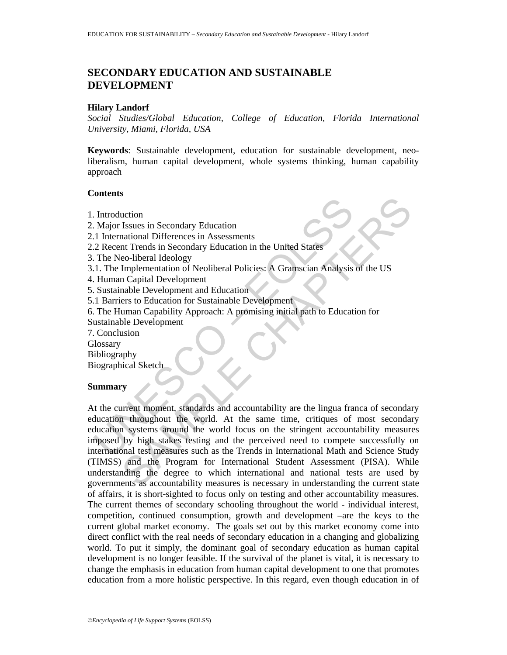# **SECONDARY EDUCATION AND SUSTAINABLE DEVELOPMENT**

### **Hilary Landorf**

*Social Studies/Global Education, College of Education, Florida International University, Miami, Florida, USA* 

**Keywords**: Sustainable development, education for sustainable development, neoliberalism, human capital development, whole systems thinking, human capability approach

#### **Contents**

- 1. Introduction
- 2. Major Issues in Secondary Education
- 2.1 International Differences in Assessments
- 2.2 Recent Trends in Secondary Education in the United States
- 3. The Neo-liberal Ideology
- 3.1. The Implementation of Neoliberal Policies: A Gramscian Analysis of the US
- 4. Human Capital Development
- 5. Sustainable Development and Education
- 5.1 Barriers to Education for Sustainable Development
- 6. The Human Capability Approach: A promising initial path to Education for Sustainable Development
- 7. Conclusion
- **Glossary**
- Bibliography
- Biographical Sketch

### **Summary**

Introduction<br>
Major Issues in Secondary Education<br>
1 International Differences in Assessments<br>
2 Recent Trends in Secondary Education in the United States<br>
7 The Neo-liberal Ideology<br>
1. The Implementation of Neoliberal Po Continues in Secondary Education<br>
Issues in Secondary Education<br>
Insteads Informates in Assessments<br>
Internal Redology<br>
Emplementation of Neoliberal Policies: A Gramscian Analysis of the US<br>
Implementation of Neoliberal Po At the current moment, standards and accountability are the lingua franca of secondary education throughout the world. At the same time, critiques of most secondary education systems around the world focus on the stringent accountability measures imposed by high stakes testing and the perceived need to compete successfully on international test measures such as the Trends in International Math and Science Study (TIMSS) and the Program for International Student Assessment (PISA). While understanding the degree to which international and national tests are used by governments as accountability measures is necessary in understanding the current state of affairs, it is short-sighted to focus only on testing and other accountability measures. The current themes of secondary schooling throughout the world - individual interest, competition, continued consumption, growth and development –are the keys to the current global market economy. The goals set out by this market economy come into direct conflict with the real needs of secondary education in a changing and globalizing world. To put it simply, the dominant goal of secondary education as human capital development is no longer feasible. If the survival of the planet is vital, it is necessary to change the emphasis in education from human capital development to one that promotes education from a more holistic perspective. In this regard, even though education in of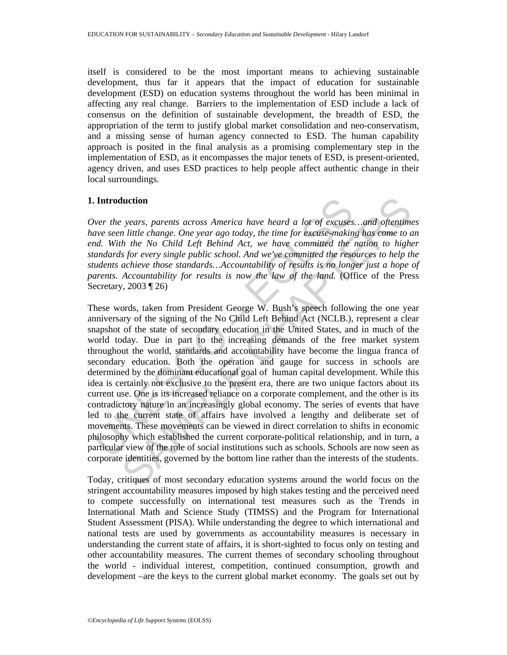itself is considered to be the most important means to achieving sustainable development, thus far it appears that the impact of education for sustainable development (ESD) on education systems throughout the world has been minimal in affecting any real change. Barriers to the implementation of ESD include a lack of consensus on the definition of sustainable development, the breadth of ESD, the appropriation of the term to justify global market consolidation and neo-conservatism, and a missing sense of human agency connected to ESD. The human capability approach is posited in the final analysis as a promising complementary step in the implementation of ESD, as it encompasses the major tenets of ESD, is present-oriented, agency driven, and uses ESD practices to help people affect authentic change in their local surroundings.

### **1. Introduction**

*Over the years, parents across America have heard a lot of excuses…and oftentimes have seen little change. One year ago today, the time for excuse-making has come to an end. With the No Child Left Behind Act, we have committed the nation to higher standards for every single public school. And we've committed the resources to help the students achieve those standards…Accountability of results is no longer just a hope of parents. Accountability for results is now the law of the land.* (Office of the Press Secretary, 2003 ¶ 26)

**Introduction**<br>
Wer the years, parents across America have heard a lot of excuses<br>
ave seen little change. One year ago today, the time for excuse-makin<br>
a. With the No Child Left Behind Act, we have committed the is<br>
and **luction**<br>
years, parents across America have heard a lot of excuses... and oftentime<br>
hittle change. One year ago today, the time for excuse-making has come to a<br>
hit he No Child Left Behind Act, we have committed the na These words, taken from President George W. Bush's speech following the one year anniversary of the signing of the No Child Left Behind Act (NCLB.), represent a clear snapshot of the state of secondary education in the United States, and in much of the world today. Due in part to the increasing demands of the free market system throughout the world, standards and accountability have become the lingua franca of secondary education. Both the operation and gauge for success in schools are determined by the dominant educational goal of human capital development. While this idea is certainly not exclusive to the present era, there are two unique factors about its current use. One is its increased reliance on a corporate complement, and the other is its contradictory nature in an increasingly global economy. The series of events that have led to the current state of affairs have involved a lengthy and deliberate set of movements. These movements can be viewed in direct correlation to shifts in economic philosophy which established the current corporate-political relationship, and in turn, a particular view of the role of social institutions such as schools. Schools are now seen as corporate identities, governed by the bottom line rather than the interests of the students.

Today, critiques of most secondary education systems around the world focus on the stringent accountability measures imposed by high stakes testing and the perceived need to compete successfully on international test measures such as the Trends in International Math and Science Study (TIMSS) and the Program for International Student Assessment (PISA). While understanding the degree to which international and national tests are used by governments as accountability measures is necessary in understanding the current state of affairs, it is short-sighted to focus only on testing and other accountability measures. The current themes of secondary schooling throughout the world - individual interest, competition, continued consumption, growth and development –are the keys to the current global market economy. The goals set out by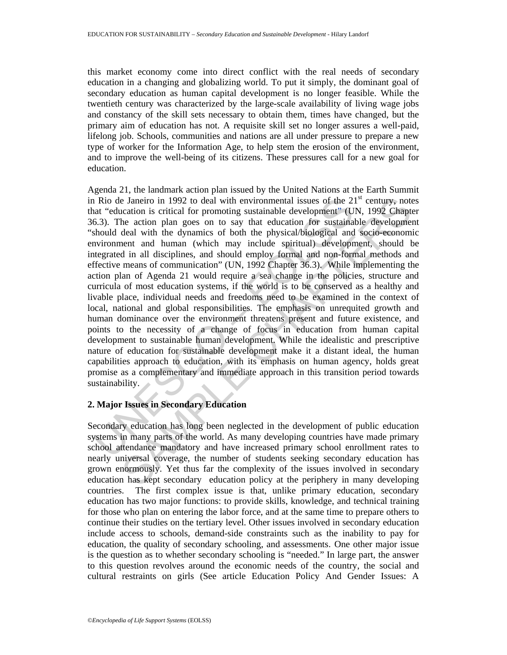this market economy come into direct conflict with the real needs of secondary education in a changing and globalizing world. To put it simply, the dominant goal of secondary education as human capital development is no longer feasible. While the twentieth century was characterized by the large-scale availability of living wage jobs and constancy of the skill sets necessary to obtain them, times have changed, but the primary aim of education has not. A requisite skill set no longer assures a well-paid, lifelong job. Schools, communities and nations are all under pressure to prepare a new type of worker for the Information Age, to help stem the erosion of the environment, and to improve the well-being of its citizens. These pressures call for a new goal for education.

It is "education is critical for promoting sustainable development" (U<br>
intive-ducation is critical for promoting sustainable development" (U<br>
6.3). The action plan goes on to say that education for ushsidnal<br>
should deal e Janciro in 1992 to deal with environmental issues of the 21<sup>st</sup> century, note<br>castion is critical for promoting sustainable development" (UN, 1992 Chapte<br>he action plan goes on to say that education for sustainable devel Agenda 21, the landmark action plan issued by the United Nations at the Earth Summit in Rio de Janeiro in 1992 to deal with environmental issues of the  $21<sup>st</sup>$  century, notes that "education is critical for promoting sustainable development" (UN, 1992 Chapter 36.3). The action plan goes on to say that education for sustainable development "should deal with the dynamics of both the physical/biological and socio-economic environment and human (which may include spiritual) development, should be integrated in all disciplines, and should employ formal and non-formal methods and effective means of communication" (UN, 1992 Chapter 36.3). While implementing the action plan of Agenda 21 would require a sea change in the policies, structure and curricula of most education systems, if the world is to be conserved as a healthy and livable place, individual needs and freedoms need to be examined in the context of local, national and global responsibilities. The emphasis on unrequited growth and human dominance over the environment threatens present and future existence, and points to the necessity of a change of focus in education from human capital development to sustainable human development. While the idealistic and prescriptive nature of education for sustainable development make it a distant ideal, the human capabilities approach to education, with its emphasis on human agency, holds great promise as a complementary and immediate approach in this transition period towards sustainability.

## **2. Major Issues in Secondary Education**

Secondary education has long been neglected in the development of public education systems in many parts of the world. As many developing countries have made primary school attendance mandatory and have increased primary school enrollment rates to nearly universal coverage, the number of students seeking secondary education has grown enormously. Yet thus far the complexity of the issues involved in secondary education has kept secondary education policy at the periphery in many developing countries. The first complex issue is that, unlike primary education, secondary education has two major functions: to provide skills, knowledge, and technical training for those who plan on entering the labor force, and at the same time to prepare others to continue their studies on the tertiary level. Other issues involved in secondary education include access to schools, demand-side constraints such as the inability to pay for education, the quality of secondary schooling, and assessments. One other major issue is the question as to whether secondary schooling is "needed." In large part, the answer to this question revolves around the economic needs of the country, the social and cultural restraints on girls (See article Education Policy And Gender Issues: A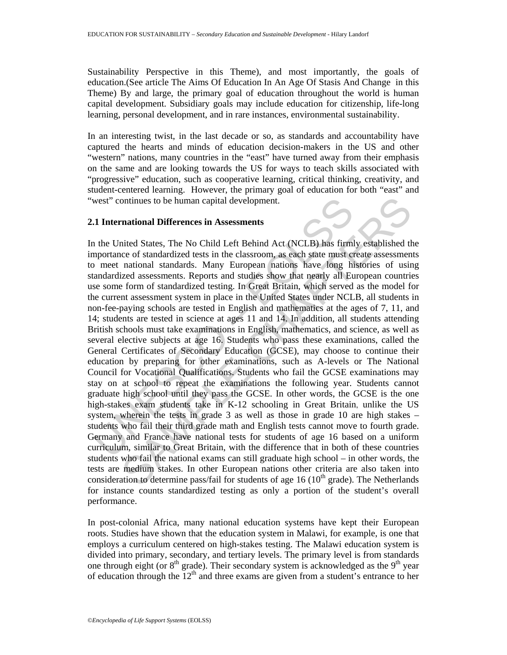Sustainability Perspective in this Theme), and most importantly, the goals of education.(See article The Aims Of Education In An Age Of Stasis And Change in this Theme) By and large, the primary goal of education throughout the world is human capital development. Subsidiary goals may include education for citizenship, life-long learning, personal development, and in rare instances, environmental sustainability.

In an interesting twist, in the last decade or so, as standards and accountability have captured the hearts and minds of education decision-makers in the US and other "western" nations, many countries in the "east" have turned away from their emphasis on the same and are looking towards the US for ways to teach skills associated with "progressive" education, such as cooperative learning, critical thinking, creativity, and student-centered learning. However, the primary goal of education for both "east" and "west" continues to be human capital development.

### **2.1 International Differences in Assessments**

west" continues to be human capital development.<br>
1 International Differences in Assessments<br>
1 the United States, The No Child Left Behind Act (NCLB) has firml<br>
mportance of standardized tests in the classroom, as each st nntinues to be human capital development.<br> **rational Differences in Assessments**<br>
inied States, The No Child Left Behind Act (NCLB) has firmly established the<br>
ce of standardized tests in the classroom, as each state must In the United States, The No Child Left Behind Act (NCLB) has firmly established the importance of standardized tests in the classroom, as each state must create assessments to meet national standards. Many European nations have long histories of using standardized assessments. Reports and studies show that nearly all European countries use some form of standardized testing. In Great Britain, which served as the model for the current assessment system in place in the United States under NCLB, all students in non-fee-paying schools are tested in English and mathematics at the ages of 7, 11, and 14; students are tested in science at ages 11 and 14. In addition, all students attending British schools must take examinations in English, mathematics, and science, as well as several elective subjects at age 16. Students who pass these examinations, called the General Certificates of Secondary Education (GCSE), may choose to continue their education by preparing for other examinations, such as A-levels or The National Council for Vocational Qualifications. Students who fail the GCSE examinations may stay on at school to repeat the examinations the following year. Students cannot graduate high school until they pass the GCSE. In other words, the GCSE is the one high-stakes exam students take in K-12 schooling in Great Britain, unlike the US system, wherein the tests in grade 3 as well as those in grade 10 are high stakes – students who fail their third grade math and English tests cannot move to fourth grade. Germany and France have national tests for students of age 16 based on a uniform curriculum, similar to Great Britain, with the difference that in both of these countries students who fail the national exams can still graduate high school – in other words, the tests are medium stakes. In other European nations other criteria are also taken into consideration to determine pass/fail for students of age  $16 \times (10<sup>th</sup> \text{ grade})$ . The Netherlands for instance counts standardized testing as only a portion of the student's overall performance.

In post-colonial Africa, many national education systems have kept their European roots. Studies have shown that the education system in Malawi, for example, is one that employs a curriculum centered on high-stakes testing. The Malawi education system is divided into primary, secondary, and tertiary levels. The primary level is from standards one through eight (or  $8<sup>th</sup>$  grade). Their secondary system is acknowledged as the  $9<sup>th</sup>$  year of education through the  $12<sup>th</sup>$  and three exams are given from a student's entrance to her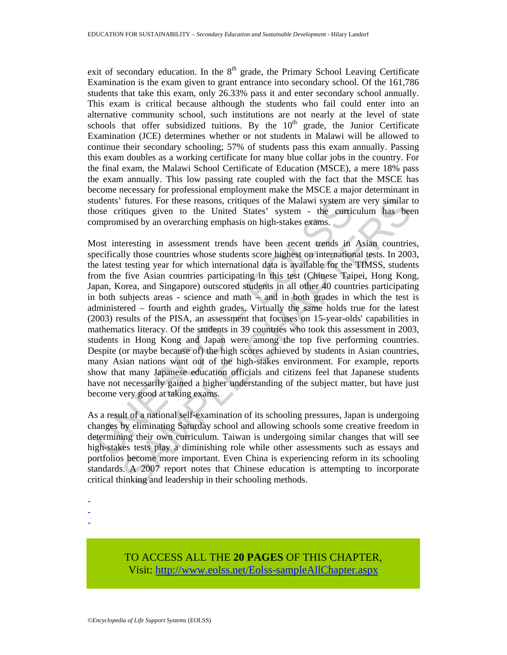exit of secondary education. In the  $8<sup>th</sup>$  grade, the Primary School Leaving Certificate Examination is the exam given to grant entrance into secondary school. Of the 161,786 students that take this exam, only 26.33% pass it and enter secondary school annually. This exam is critical because although the students who fail could enter into an alternative community school, such institutions are not nearly at the level of state schools that offer subsidized tuitions. By the  $10<sup>th</sup>$  grade, the Junior Certificate Examination (JCE) determines whether or not students in Malawi will be allowed to continue their secondary schooling; 57% of students pass this exam annually. Passing this exam doubles as a working certificate for many blue collar jobs in the country. For the final exam, the Malawi School Certificate of Education (MSCE), a mere 18% pass the exam annually. This low passing rate coupled with the fact that the MSCE has become necessary for professional employment make the MSCE a major determinant in students' futures. For these reasons, critiques of the Malawi system are very similar to those critiques given to the United States' system - the curriculum has been compromised by an overarching emphasis on high-stakes exams.

udents' futures. For these reasons, critiques of the Malawi system an<br>ose critiques given to the United States' system - the curric<br>ompromised by an overarching emphasis on high-stakes exams.<br>Lost interesting in assessment futures. For these reasons, critiques of the Malawi system are very similar titiques given to the United States' system - the curriculum has been countries in a system in the curriculum in the system of the exertical state Most interesting in assessment trends have been recent trends in Asian countries, specifically those countries whose students score highest on international tests. In 2003, the latest testing year for which international data is available for the TIMSS, students from the five Asian countries participating in this test (Chinese Taipei, Hong Kong, Japan, Korea, and Singapore) outscored students in all other 40 countries participating in both subjects areas - science and math – and in both grades in which the test is administered – fourth and eighth grades. Virtually the same holds true for the latest (2003) results of the PISA, an assessment that focuses on 15-year-olds' capabilities in mathematics literacy. Of the students in 39 countries who took this assessment in 2003, students in Hong Kong and Japan were among the top five performing countries. Despite (or maybe because of) the high scores achieved by students in Asian countries, many Asian nations want out of the high-stakes environment. For example, reports show that many Japanese education officials and citizens feel that Japanese students have not necessarily gained a higher understanding of the subject matter, but have just become very good at taking exams.

As a result of a national self-examination of its schooling pressures, Japan is undergoing changes by eliminating Saturday school and allowing schools some creative freedom in determining their own curriculum. Taiwan is undergoing similar changes that will see high-stakes tests play a diminishing role while other assessments such as essays and portfolios become more important. Even China is experiencing reform in its schooling standards. A 2007 report notes that Chinese education is attempting to incorporate critical thinking and leadership in their schooling methods.

- -
- -

TO ACCESS ALL THE **20 PAGES** OF THIS CHAPTER, Visit[: http://www.eolss.net/Eolss-sampleAllChapter.aspx](https://www.eolss.net/ebooklib/sc_cart.aspx?File=E6-61-03-02)

<sup>-</sup>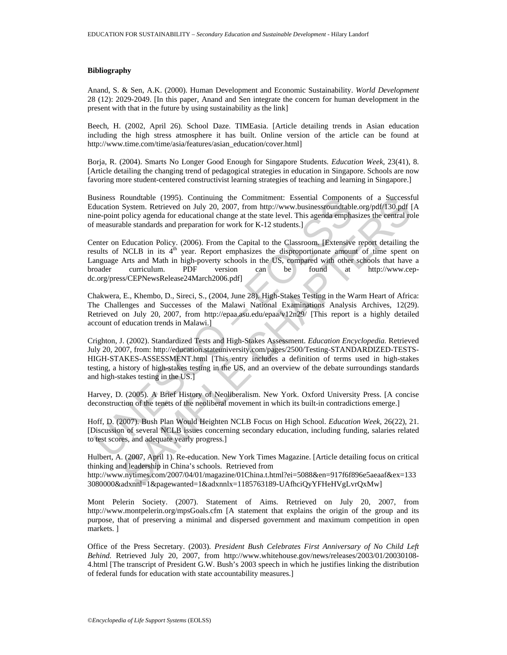#### **Bibliography**

Anand, S. & Sen, A.K. (2000). Human Development and Economic Sustainability. *World Development*  28 (12): 2029-2049. [In this paper, Anand and Sen integrate the concern for human development in the present with that in the future by using sustainability as the link]

Beech, H. (2002, April 26). School Daze. TIMEasia. [Article detailing trends in Asian education including the high stress atmosphere it has built. Online version of the article can be found at http://www.time.com/time/asia/features/asian\_education/cover.html]

Borja, R. (2004). Smarts No Longer Good Enough for Singapore Students. *Education Week,* 23(41), 8. [Article detailing the changing trend of pedagogical strategies in education in Singapore. Schools are now favoring more student-centered constructivist learning strategies of teaching and learning in Singapore.]

Business Roundtable (1995). Continuing the Commitment: Essential Components of a Successful Education System. Retrieved on July 20, 2007, from http://www.businessroundtable.org/pdf/130.pdf [A nine-point policy agenda for educational change at the state level. This agenda emphasizes the central role of measurable standards and preparation for work for K-12 students.]

stress. Roundable (1995). Continuum the Committerne. Essental Component<br>ducation System. Retrieved on July 20, 2007, from http://www.businessroundtable<br>ne-point policy agenda for educational change at the state level. This Roundtable (1995). Continuing the Committent: Essential Components of a Successfugged<br>Rystem. Retrieved on July 20, 2007, from http://www.businessroundtable.org/pdf/[30.pdf policy agenda for educational change at the stat Center on Education Policy. (2006). From the Capital to the Classroom. [Extensive report detailing the results of NCLB in its  $4<sup>th</sup>$  year. Report emphasizes the disproportionate amount of time spent on Language Arts and Math in high-poverty schools in the US, compared with other schools that have a broader curriculum. PDF version can be found at http://www.cepdc.org/press/CEPNewsRelease24March2006.pdf]

Chakwera, E., Khembo, D., Sireci, S., (2004, June 28). High-Stakes Testing in the Warm Heart of Africa: The Challenges and Successes of the Malawi National Examinations Analysis Archives, 12(29). Retrieved on July 20, 2007, from http://epaa.asu.edu/epaa/v12n29/ [This report is a highly detailed account of education trends in Malawi.]

Crighton, J. (2002). Standardized Tests and High-Stakes Assessment. *Education Encyclopedia.* Retrieved July 20, 2007, from: http://education.stateuniversity.com/pages/2500/Testing-STANDARDIZED-TESTS-HIGH-STAKES-ASSESSMENT.html [This entry includes a definition of terms used in high-stakes testing, a history of high-stakes testing in the US, and an overview of the debate surroundings standards and high-stakes testing in the US.]

Harvey, D. (2005). A Brief History of Neoliberalism. New York. Oxford University Press. [A concise deconstruction of the tenets of the neoliberal movement in which its built-in contradictions emerge.]

Hoff, D. (2007). Bush Plan Would Heighten NCLB Focus on High School. *Education Week,* 26(22), 21. [Discussion of several NCLB issues concerning secondary education, including funding, salaries related to test scores, and adequate yearly progress.]

Hulbert, A. (2007, April 1). Re-education. New York Times Magazine. [Article detailing focus on critical thinking and leadership in China's schools. Retrieved from http://www.nytimes.com/2007/04/01/magazine/01China.t.html?ei=5088&en=917f6f896e5aeaaf&ex=133

3080000&adxnnl=1&pagewanted=1&adxnnlx=1185763189-UAfhciQyYFHeHVgLvrQxMw]

Mont Pelerin Society. (2007). Statement of Aims. Retrieved on July 20, 2007, from http://www.montpelerin.org/mpsGoals.cfm [A statement that explains the origin of the group and its purpose, that of preserving a minimal and dispersed government and maximum competition in open markets. ]

Office of the Press Secretary. (2003). *President Bush Celebrates First Anniversary of No Child Left Behind.* Retrieved July 20, 2007, from http://www.whitehouse.gov/news/releases/2003/01/20030108- 4.html [The transcript of President G.W. Bush's 2003 speech in which he justifies linking the distribution of federal funds for education with state accountability measures.]